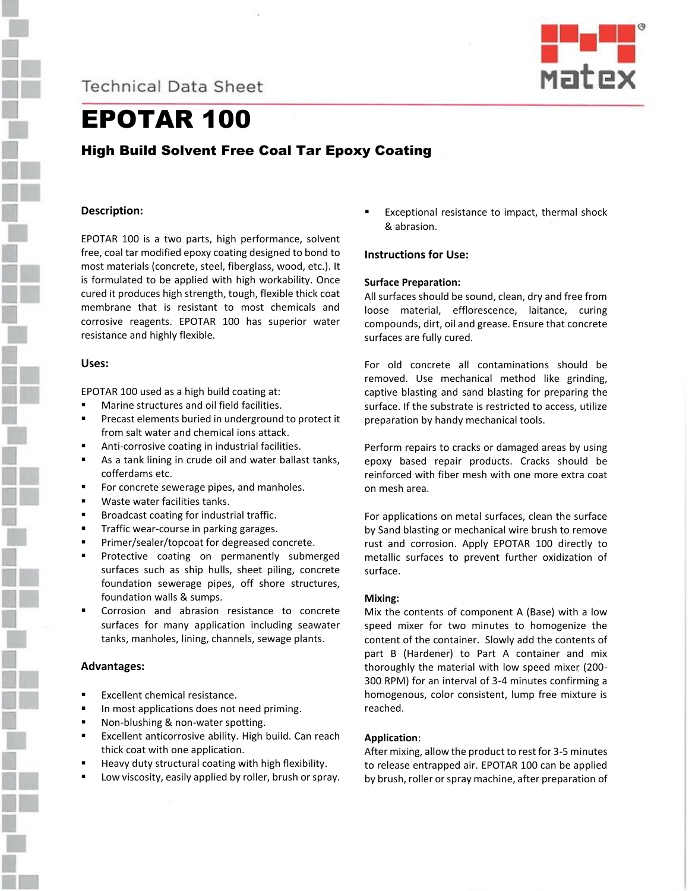**Technical Data Sheet** 



# EPOTAR 100

High Build Solvent Free Coal Tar Epoxy Coating

# **Description:**

EPOTAR 100 is a two parts, high performance, solvent free, coal tar modified epoxy coating designed to bond to most materials (concrete, steel, fiberglass, wood, etc.). It is formulated to be applied with high workability. Once cured it produces high strength, tough, flexible thick coat membrane that is resistant to most chemicals and corrosive reagents. EPOTAR 100 has superior water resistance and highly flexible.

# **Uses:**

EPOTAR 100 used as a high build coating at:

- Marine structures and oil field facilities.
- Precast elements buried in underground to protect it from salt water and chemical ions attack.
- Anti-corrosive coating in industrial facilities.
- As a tank lining in crude oil and water ballast tanks, cofferdams etc.
- For concrete sewerage pipes, and manholes.
- Waste water facilities tanks.
- Broadcast coating for industrial traffic.
- Traffic wear-course in parking garages.
- Primer/sealer/topcoat for degreased concrete.
- Protective coating on permanently submerged surfaces such as ship hulls, sheet piling, concrete foundation sewerage pipes, off shore structures, foundation walls & sumps.
- Corrosion and abrasion resistance to concrete surfaces for many application including seawater tanks, manholes, lining, channels, sewage plants.

# **Advantages:**

- Excellent chemical resistance.
- In most applications does not need priming.
- Non-blushing & non-water spotting.
- Excellent anticorrosive ability. High build. Can reach thick coat with one application.
- Heavy duty structural coating with high flexibility.
- Low viscosity, easily applied by roller, brush or spray.

Exceptional resistance to impact, thermal shock & abrasion.

# **Instructions for Use:**

#### **Surface Preparation:**

All surfaces should be sound, clean, dry and free from loose material, efflorescence, laitance, curing compounds, dirt, oil and grease. Ensure that concrete surfaces are fully cured.

For old concrete all contaminations should be removed. Use mechanical method like grinding, captive blasting and sand blasting for preparing the surface. If the substrate is restricted to access, utilize preparation by handy mechanical tools.

Perform repairs to cracks or damaged areas by using epoxy based repair products. Cracks should be reinforced with fiber mesh with one more extra coat on mesh area.

For applications on metal surfaces, clean the surface by Sand blasting or mechanical wire brush to remove rust and corrosion. Apply EPOTAR 100 directly to metallic surfaces to prevent further oxidization of surface.

# **Mixing:**

Mix the contents of component A (Base) with a low speed mixer for two minutes to homogenize the content of the container. Slowly add the contents of part B (Hardener) to Part A container and mix thoroughly the material with low speed mixer (200- 300 RPM) for an interval of 3-4 minutes confirming a homogenous, color consistent, lump free mixture is reached.

# **Application**:

After mixing, allow the product to rest for 3-5 minutes to release entrapped air. EPOTAR 100 can be applied by brush, roller or spray machine, after preparation of